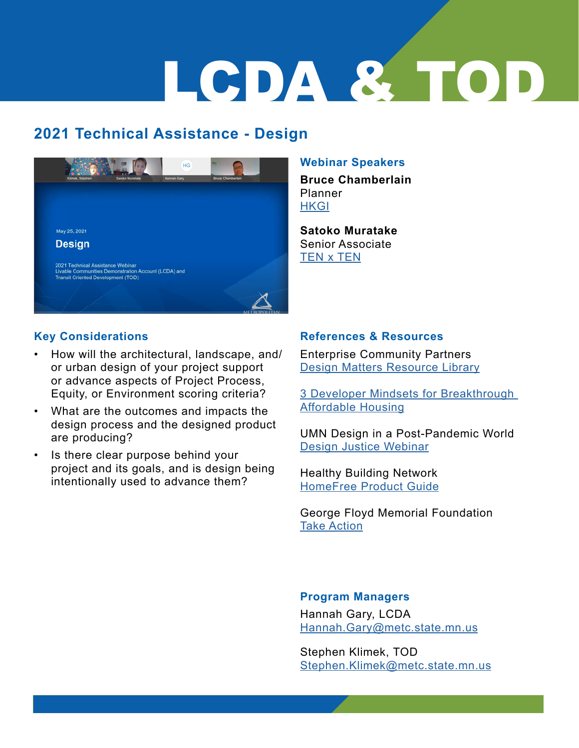## LCDA & TOD

## **2021 Technical Assistance - Design**



#### **Webinar Speakers**

**Bruce Chamberlain** Planner **[HKGI](https://www.hkgi.com/index.php)** 

**Satoko Muratake**  Senior Ass[o](https://www.youngecg.com/)ciate [TEN x TEN](https://www.tenxtenstudio.com/)

#### **Key Considerations**

- How will the architectural, landscape, and/ or urban design of your project support or advance aspects of Project Process, Equity, or Environment scoring criteria?
- What are the outcomes and impacts the design process and the designed product are producing?
- Is there clear purpose behind your project and its goals, and is design being intentionally used to advance them?

#### **References & Resources**

Enterprise Community Partners [Design Matters Resource Library](https://www.enterprisecommunity.org/solutions-and-innovation/design-leadership/designmatters/resources)

[3 Developer Mindsets for Breakthrough](https://www.enterprisecommunity.org/blog/3-developer-mindsets-breakthrough-affordable-housing)  [Affordable Housing](https://www.enterprisecommunity.org/blog/3-developer-mindsets-breakthrough-affordable-housing)

UMN Design in a Post-Pandemic World [Design Justice Webinar](https://youtu.be/h6snuqKQi2s)

Healthy Building Network [HomeFree Product Guide](https://homefree.healthybuilding.net/products)

George Floyd Memorial Foundation [Take Action](https://justiceforgeorge-takeaction.carrd.co/)

#### **Program Managers**

Hannah Gary, LCDA [Hannah.Gary@metc.state.mn.us](mailto:Hannah.Gary%40metc.state.mn.us%20?subject=)

Stephen Klimek, TOD [Stephen.Klimek@metc.state.mn.us](mailto:Stephen.Klimek%40metc.state.mn.us?subject=)